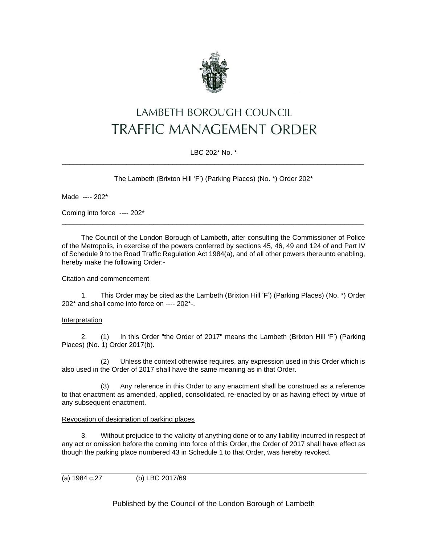

# LAMBETH BOROUGH COUNCIL **TRAFFIC MANAGEMENT ORDER**

## LBC 202\* No. \* \_\_\_\_\_\_\_\_\_\_\_\_\_\_\_\_\_\_\_\_\_\_\_\_\_\_\_\_\_\_\_\_\_\_\_\_\_\_\_\_\_\_\_\_\_\_\_\_\_\_\_\_\_\_\_\_\_\_\_\_\_\_\_\_\_\_\_\_\_\_\_\_\_\_\_\_\_\_\_

The Lambeth (Brixton Hill 'F') (Parking Places) (No. \*) Order 202\*

Made ---- 202\*

Coming into force ---- 202\*

The Council of the London Borough of Lambeth, after consulting the Commissioner of Police of the Metropolis, in exercise of the powers conferred by sections 45, 46, 49 and 124 of and Part IV of Schedule 9 to the Road Traffic Regulation Act 1984(a), and of all other powers thereunto enabling, hereby make the following Order:-

\_\_\_\_\_\_\_\_\_\_\_\_\_\_\_\_\_\_\_\_\_\_\_\_\_\_\_\_\_\_\_\_\_\_\_\_\_\_\_\_\_\_\_\_\_\_\_\_\_\_\_\_\_\_\_\_\_\_\_\_\_\_\_\_\_\_\_\_\_\_\_\_\_\_\_\_\_\_\_

### Citation and commencement

1. This Order may be cited as the Lambeth (Brixton Hill 'F') (Parking Places) (No. \*) Order 202\* and shall come into force on ---- 202\*-.

### Interpretation

2. (1) In this Order "the Order of 2017" means the Lambeth (Brixton Hill 'F') (Parking Places) (No. 1) Order 2017(b).

(2) Unless the context otherwise requires, any expression used in this Order which is also used in the Order of 2017 shall have the same meaning as in that Order.

(3) Any reference in this Order to any enactment shall be construed as a reference to that enactment as amended, applied, consolidated, re-enacted by or as having effect by virtue of any subsequent enactment.

## Revocation of designation of parking places

3. Without prejudice to the validity of anything done or to any liability incurred in respect of any act or omission before the coming into force of this Order, the Order of 2017 shall have effect as though the parking place numbered 43 in Schedule 1 to that Order, was hereby revoked.

```
(a) 1984 c.27 (b) LBC 2017/69
```
Published by the Council of the London Borough of Lambeth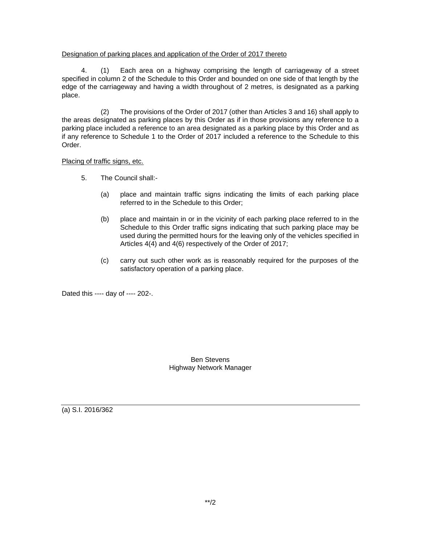## Designation of parking places and application of the Order of 2017 thereto

4. (1) Each area on a highway comprising the length of carriageway of a street specified in column 2 of the Schedule to this Order and bounded on one side of that length by the edge of the carriageway and having a width throughout of 2 metres, is designated as a parking place.

(2) The provisions of the Order of 2017 (other than Articles 3 and 16) shall apply to the areas designated as parking places by this Order as if in those provisions any reference to a parking place included a reference to an area designated as a parking place by this Order and as if any reference to Schedule 1 to the Order of 2017 included a reference to the Schedule to this Order.

Placing of traffic signs, etc.

- 5. The Council shall:-
	- (a) place and maintain traffic signs indicating the limits of each parking place referred to in the Schedule to this Order;
	- (b) place and maintain in or in the vicinity of each parking place referred to in the Schedule to this Order traffic signs indicating that such parking place may be used during the permitted hours for the leaving only of the vehicles specified in Articles 4(4) and 4(6) respectively of the Order of 2017;
	- (c) carry out such other work as is reasonably required for the purposes of the satisfactory operation of a parking place.

Dated this ---- day of ---- 202-.

Ben Stevens Highway Network Manager

(a) S.I. 2016/362